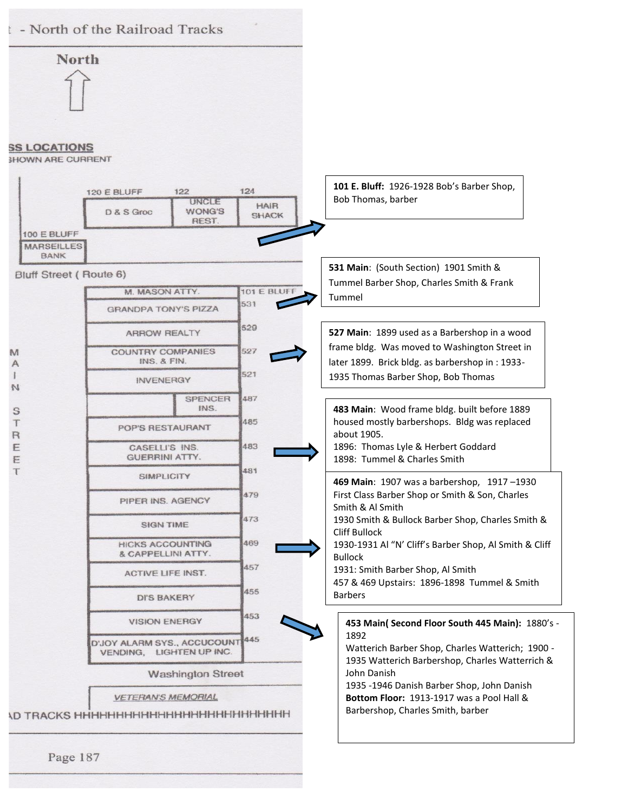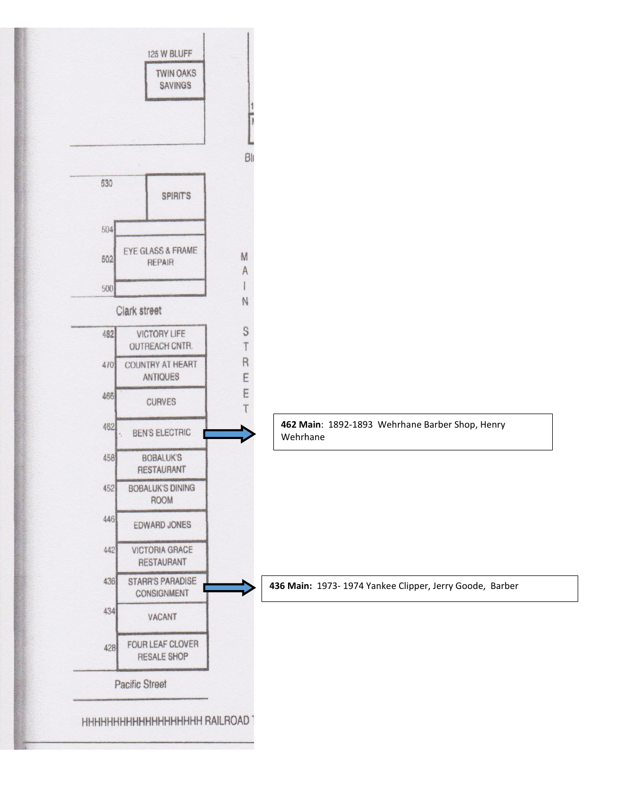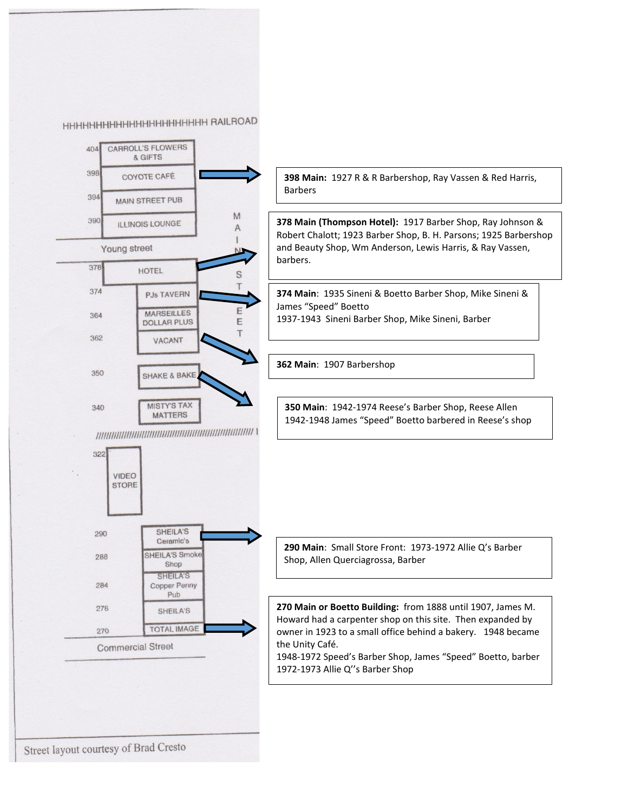**ННННННННННННННННННННН RAILROAD** 



Street layout courtesy of Brad Cresto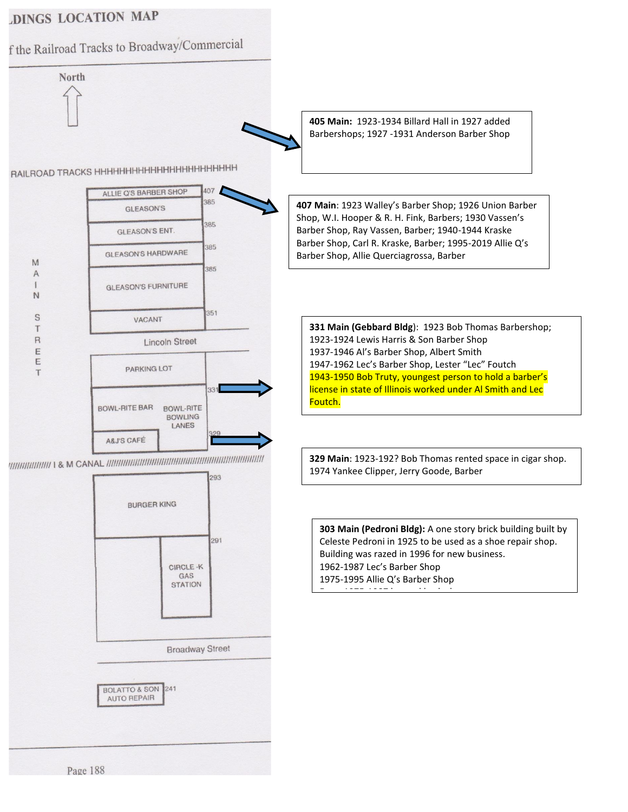## **DINGS LOCATION MAP**

f the Railroad Tracks to Broadway/Commercial